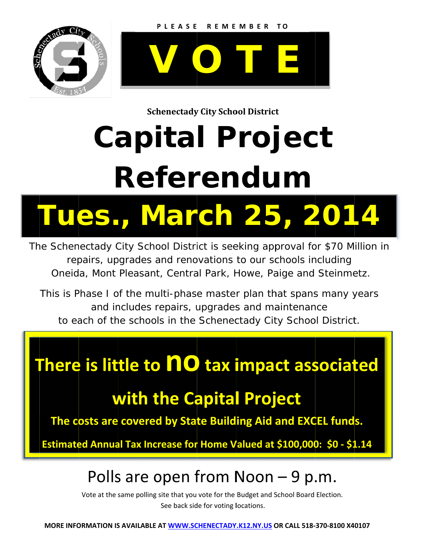

**Schenectady City School District** 

## **Capital Project Referendum**

**Tues., March 25, 2014** 

The Schenectady City School District is seeking approval for \$70 Million in repairs, upgrades and renovations to our schools including Oneida, Mont Pleasant, Central Park, Howe, Paige and Steinmetz.

This is Phase I of the multi-phase master plan that spans many years and includes repairs, upgrades and maintenance to each of the schools in the Schenectady City School District.

There is little to no tax impact associated

## with the Capital Project

The costs are covered by State Building Aid and EXCEL funds.

Estimated Annual Tax Increase for Home Valued at \$100,000: \$0 - \$1.14

## Polls are open from Noon  $-9$  p.m.

Vote at the same polling site that you vote for the Budget and School Board Election. See back side for voting locations.

MORE INFORMATION IS AVAILABLE AT WWW.SCHENECTADY.K12.NY.US OR CALL 518-370-8100 X40107